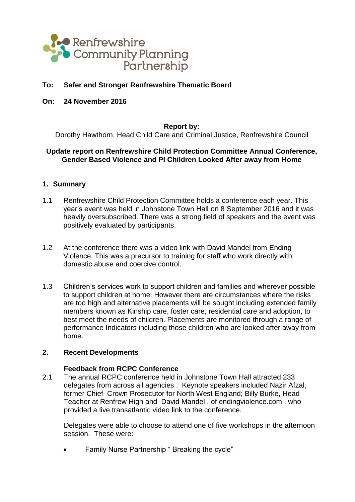

# **To: Safer and Stronger Renfrewshire Thematic Board**

**On: 24 November 2016**

#### **Report by:**

Dorothy Hawthorn, Head Child Care and Criminal Justice, Renfrewshire Council

## **Update report on Renfrewshire Child Protection Committee Annual Conference, Gender Based Violence and PI Children Looked After away from Home**

### **1. Summary**

- 1.1 Renfrewshire Child Protection Committee holds a conference each year. This year's event was held in Johnstone Town Hall on 8 September 2016 and it was heavily oversubscribed. There was a strong field of speakers and the event was positively evaluated by participants.
- 1.2 At the conference there was a video link with David Mandel from Ending Violence. This was a precursor to training for staff who work directly with domestic abuse and coercive control.
- 1.3 Children's services work to support children and families and wherever possible to support children at home. However there are circumstances where the risks are too high and alternative placements will be sought including extended family members known as Kinship care, foster care, residential care and adoption, to best meet the needs of children. Placements are monitored through a range of performance Indicators including those children who are looked after away from home.

#### **2. Recent Developments**

### **Feedback from RCPC Conference**

2.1 The annual RCPC conference held in Johnstone Town Hall attracted 233 delegates from across all agencies . Keynote speakers included Nazir Afzal, former Chief Crown Prosecutor for North West England; Billy Burke, Head Teacher at Renfrew High and David Mandel , of endingviolence.com , who provided a live transatlantic video link to the conference.

Delegates were able to choose to attend one of five workshops in the afternoon session. These were:

Family Nurse Partnership " Breaking the cycle"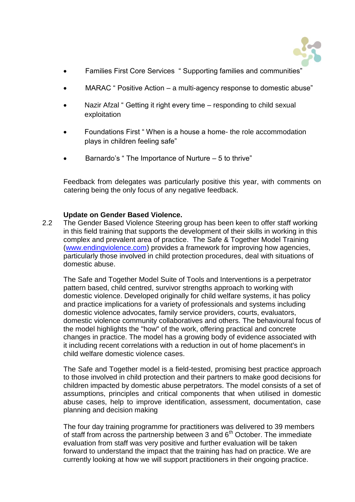

- Families First Core Services " Supporting families and communities"
- MARAC " Positive Action a multi-agency response to domestic abuse"
- Nazir Afzal " Getting it right every time responding to child sexual exploitation
- Foundations First " When is a house a home- the role accommodation plays in children feeling safe"
- Barnardo's " The Importance of Nurture 5 to thrive"

Feedback from delegates was particularly positive this year, with comments on catering being the only focus of any negative feedback.

## **Update on Gender Based Violence.**

2.2 The Gender Based Violence Steering group has been keen to offer staff working in this field training that supports the development of their skills in working in this complex and prevalent area of practice. The Safe & Together Model Training [\(www.endingviolence.com\)](http://www.endingviolence.com/) provides a framework for improving how agencies, particularly those involved in child protection procedures, deal with situations of domestic abuse.

The Safe and Together Model Suite of Tools and Interventions is a perpetrator pattern based, child centred, survivor strengths approach to working with domestic violence. Developed originally for child welfare systems, it has policy and practice implications for a variety of professionals and systems including domestic violence advocates, family service providers, courts, evaluators, domestic violence community collaboratives and others. The behavioural focus of the model highlights the "how" of the work, offering practical and concrete changes in practice. The model has a growing body of evidence associated with it including recent correlations with a reduction in out of home placement's in child welfare domestic violence cases.

The Safe and Together model is a field-tested, promising best practice approach to those involved in child protection and their partners to make good decisions for children impacted by domestic abuse perpetrators. The model consists of a set of assumptions, principles and critical components that when utilised in domestic abuse cases, help to improve identification, assessment, documentation, case planning and decision making

The four day training programme for practitioners was delivered to 39 members of staff from across the partnership between 3 and  $6<sup>th</sup>$  October. The immediate evaluation from staff was very positive and further evaluation will be taken forward to understand the impact that the training has had on practice. We are currently looking at how we will support practitioners in their ongoing practice.